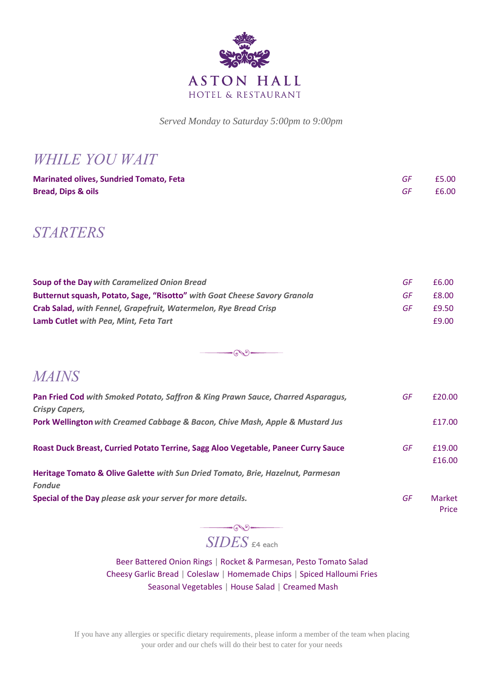

 *Served Monday to Saturday 5:00pm to 9:00pm*

*WHILE YOU WAIT*

| <b>Marinated olives, Sundried Tomato, Feta</b> | £5.00 |
|------------------------------------------------|-------|
| <b>Bread, Dips &amp; oils</b>                  | £6.00 |

## *STARTERS*

| <b>Soup of the Day with Caramelized Onion Bread</b>                       | GF | £6.00 |
|---------------------------------------------------------------------------|----|-------|
| Butternut squash, Potato, Sage, "Risotto" with Goat Cheese Savory Granola | GF | £8.00 |
| Crab Salad, with Fennel, Grapefruit, Watermelon, Rye Bread Crisp          | GF | £9.50 |
| Lamb Cutlet with Pea, Mint, Feta Tart                                     |    | £9.00 |

 $-60-$ 

## *MAINS*

| Pan Fried Cod with Smoked Potato, Saffron & King Prawn Sauce, Charred Asparagus,   | GF | £20.00          |
|------------------------------------------------------------------------------------|----|-----------------|
| <b>Crispy Capers,</b>                                                              |    |                 |
| Pork Wellington with Creamed Cabbage & Bacon, Chive Mash, Apple & Mustard Jus      |    | £17.00          |
| Roast Duck Breast, Curried Potato Terrine, Sagg Aloo Vegetable, Paneer Curry Sauce | GF | £19.00          |
| Heritage Tomato & Olive Galette with Sun Dried Tomato, Brie, Hazelnut, Parmesan    |    | £16.00          |
| <b>Fondue</b>                                                                      |    |                 |
| Special of the Day please ask your server for more details.                        | GF | Market<br>Price |

## *SIDES*  $\epsilon$ 4 each

 $\overline{\phantom{a}}$ 

Beer Battered Onion Rings | Rocket & Parmesan, Pesto Tomato Salad Cheesy Garlic Bread | Coleslaw | Homemade Chips | Spiced Halloumi Fries Seasonal Vegetables | House Salad | Creamed Mash

If you have any allergies or specific dietary requirements, please inform a member of the team when placing your order and our chefs will do their best to cater for your needs